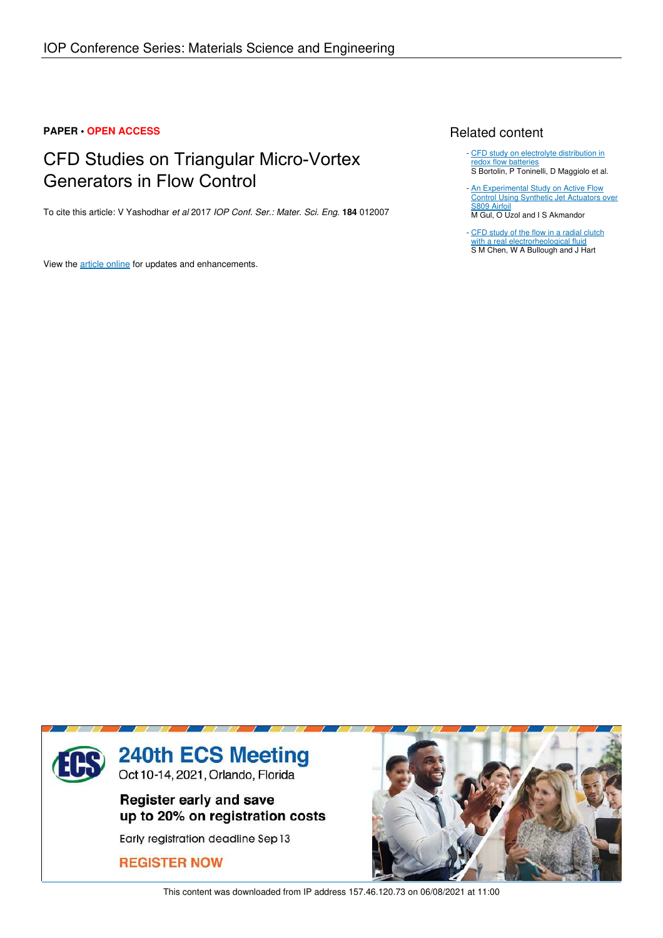#### **PAPER • OPEN ACCESS**

## CFD Studies on Triangular Micro-Vortex Generators in Flow Control

To cite this article: V Yashodhar *et al* 2017 *IOP Conf. Ser.: Mater. Sci. Eng.* **184** 012007

View the article online for updates and enhancements.

### Related content

- CFD study on electrolyte distribution in redox flow batteries S Bortolin, P Toninelli, D Maggiolo et al.
- **An Experimental Study on Active Flow** Control Using Synthetic Jet Actuators over S809 Airfoil -
- M Gul, O Uzol and I S Akmandor
- CFD study of the flow in a radial clutch with a real electrorheological fluid S M Chen, W A Bullough and J Hart



This content was downloaded from IP address 157.46.120.73 on 06/08/2021 at 11:00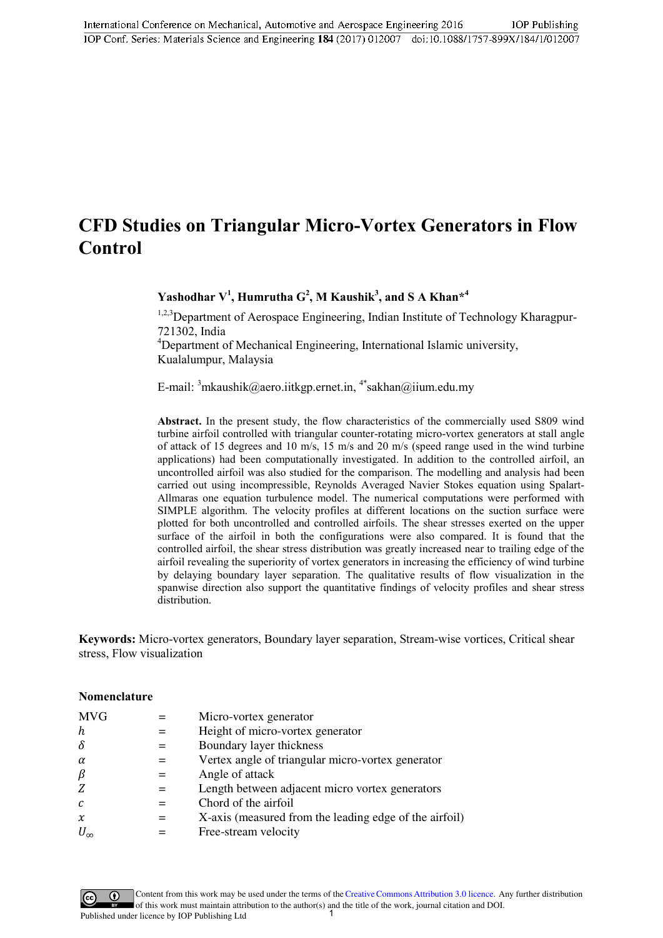# **CFD Studies on Triangular Micro-Vortex Generators in Flow Control**

## $\mathbf{Y}$ ashodhar  $\mathbf{V}^1$ , Humrutha  $\mathbf{G}^2$ , M Kaushik $^3$ , and S A Khan $^{\ast 4}$

<sup>1,2,3</sup>Department of Aerospace Engineering, Indian Institute of Technology Kharagpur-721302, India

<sup>4</sup>Department of Mechanical Engineering, International Islamic university, Kualalumpur, Malaysia

E-mail:  $\frac{3}{3}$ mkaushik@aero.iitkgp.ernet.in,  $\frac{4}{3}$ sakhan@iium.edu.my

**Abstract.** In the present study, the flow characteristics of the commercially used S809 wind turbine airfoil controlled with triangular counter-rotating micro-vortex generators at stall angle of attack of 15 degrees and 10 m/s, 15 m/s and 20 m/s (speed range used in the wind turbine applications) had been computationally investigated. In addition to the controlled airfoil, an uncontrolled airfoil was also studied for the comparison. The modelling and analysis had been carried out using incompressible, Reynolds Averaged Navier Stokes equation using Spalart-Allmaras one equation turbulence model. The numerical computations were performed with SIMPLE algorithm. The velocity profiles at different locations on the suction surface were plotted for both uncontrolled and controlled airfoils. The shear stresses exerted on the upper surface of the airfoil in both the configurations were also compared. It is found that the controlled airfoil, the shear stress distribution was greatly increased near to trailing edge of the airfoil revealing the superiority of vortex generators in increasing the efficiency of wind turbine by delaying boundary layer separation. The qualitative results of flow visualization in the spanwise direction also support the quantitative findings of velocity profiles and shear stress distribution.

**Keywords:** Micro-vortex generators, Boundary layer separation, Stream-wise vortices, Critical shear stress, Flow visualization

#### **Nomenclature**

| <b>MVG</b>   | Micro-vortex generator                                 |
|--------------|--------------------------------------------------------|
| h            | Height of micro-vortex generator                       |
| δ            | Boundary layer thickness                               |
| $\alpha$     | Vertex angle of triangular micro-vortex generator      |
| β            | Angle of attack                                        |
| Ζ            | Length between adjacent micro vortex generators        |
| $\mathcal C$ | Chord of the airfoil                                   |
| $\chi$       | X-axis (measured from the leading edge of the airfoil) |
| $U_{\infty}$ | Free-stream velocity                                   |
|              |                                                        |

Published under licence by IOP Publishing Ltd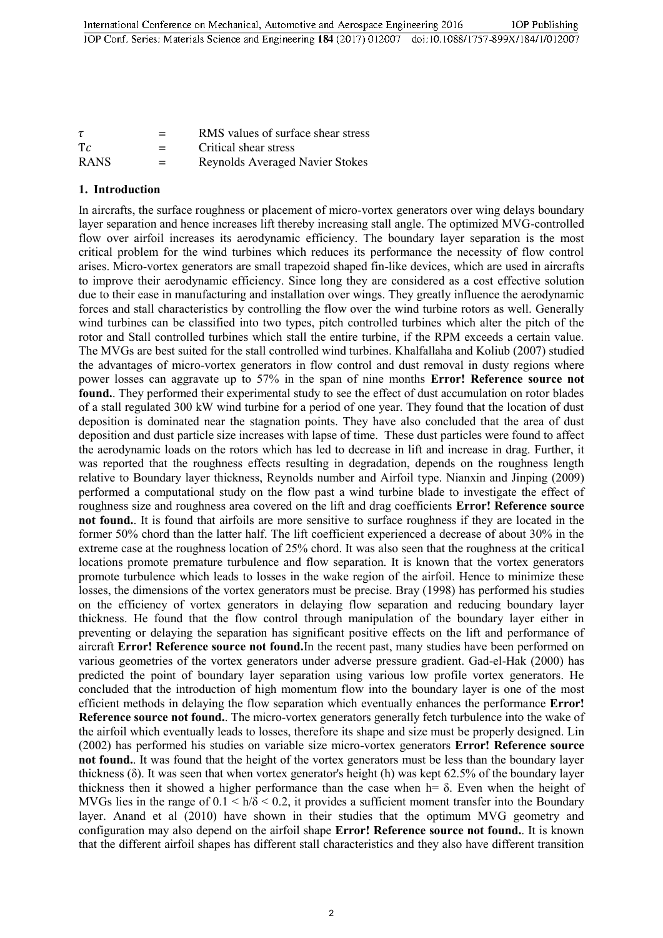| $\tau$ | $=$ | RMS values of surface shear stress     |
|--------|-----|----------------------------------------|
| Tc     | $=$ | Critical shear stress                  |
| RANS   | $=$ | <b>Reynolds Averaged Navier Stokes</b> |

#### **1. Introduction**

In aircrafts, the surface roughness or placement of micro-vortex generators over wing delays boundary layer separation and hence increases lift thereby increasing stall angle. The optimized MVG-controlled flow over airfoil increases its aerodynamic efficiency. The boundary layer separation is the most critical problem for the wind turbines which reduces its performance the necessity of flow control arises. Micro-vortex generators are small trapezoid shaped fin-like devices, which are used in aircrafts to improve their aerodynamic efficiency. Since long they are considered as a cost effective solution due to their ease in manufacturing and installation over wings. They greatly influence the aerodynamic forces and stall characteristics by controlling the flow over the wind turbine rotors as well. Generally wind turbines can be classified into two types, pitch controlled turbines which alter the pitch of the rotor and Stall controlled turbines which stall the entire turbine, if the RPM exceeds a certain value. The MVGs are best suited for the stall controlled wind turbines. Khalfallaha and Koliub (2007) studied the advantages of micro-vortex generators in flow control and dust removal in dusty regions where power losses can aggravate up to 57% in the span of nine months **Error! Reference source not found.**. They performed their experimental study to see the effect of dust accumulation on rotor blades of a stall regulated 300 kW wind turbine for a period of one year. They found that the location of dust deposition is dominated near the stagnation points. They have also concluded that the area of dust deposition and dust particle size increases with lapse of time. These dust particles were found to affect the aerodynamic loads on the rotors which has led to decrease in lift and increase in drag. Further, it was reported that the roughness effects resulting in degradation, depends on the roughness length relative to Boundary layer thickness, Reynolds number and Airfoil type. Nianxin and Jinping (2009) performed a computational study on the flow past a wind turbine blade to investigate the effect of roughness size and roughness area covered on the lift and drag coefficients **Error! Reference source not found.**. It is found that airfoils are more sensitive to surface roughness if they are located in the former 50% chord than the latter half. The lift coefficient experienced a decrease of about 30% in the extreme case at the roughness location of 25% chord. It was also seen that the roughness at the critical locations promote premature turbulence and flow separation. It is known that the vortex generators promote turbulence which leads to losses in the wake region of the airfoil. Hence to minimize these losses, the dimensions of the vortex generators must be precise. Bray (1998) has performed his studies on the efficiency of vortex generators in delaying flow separation and reducing boundary layer thickness. He found that the flow control through manipulation of the boundary layer either in preventing or delaying the separation has significant positive effects on the lift and performance of aircraft **Error! Reference source not found.**In the recent past, many studies have been performed on various geometries of the vortex generators under adverse pressure gradient. Gad-el-Hak (2000) has predicted the point of boundary layer separation using various low profile vortex generators. He concluded that the introduction of high momentum flow into the boundary layer is one of the most efficient methods in delaying the flow separation which eventually enhances the performance **Error! Reference source not found.**. The micro-vortex generators generally fetch turbulence into the wake of the airfoil which eventually leads to losses, therefore its shape and size must be properly designed. Lin (2002) has performed his studies on variable size micro-vortex generators **Error! Reference source not found.**. It was found that the height of the vortex generators must be less than the boundary layer thickness (δ). It was seen that when vortex generator's height (h) was kept 62.5% of the boundary layer thickness then it showed a higher performance than the case when  $h = \delta$ . Even when the height of MVGs lies in the range of  $0.1 \le h/\delta \le 0.2$ , it provides a sufficient moment transfer into the Boundary layer. Anand et al (2010) have shown in their studies that the optimum MVG geometry and configuration may also depend on the airfoil shape **Error! Reference source not found.**. It is known that the different airfoil shapes has different stall characteristics and they also have different transition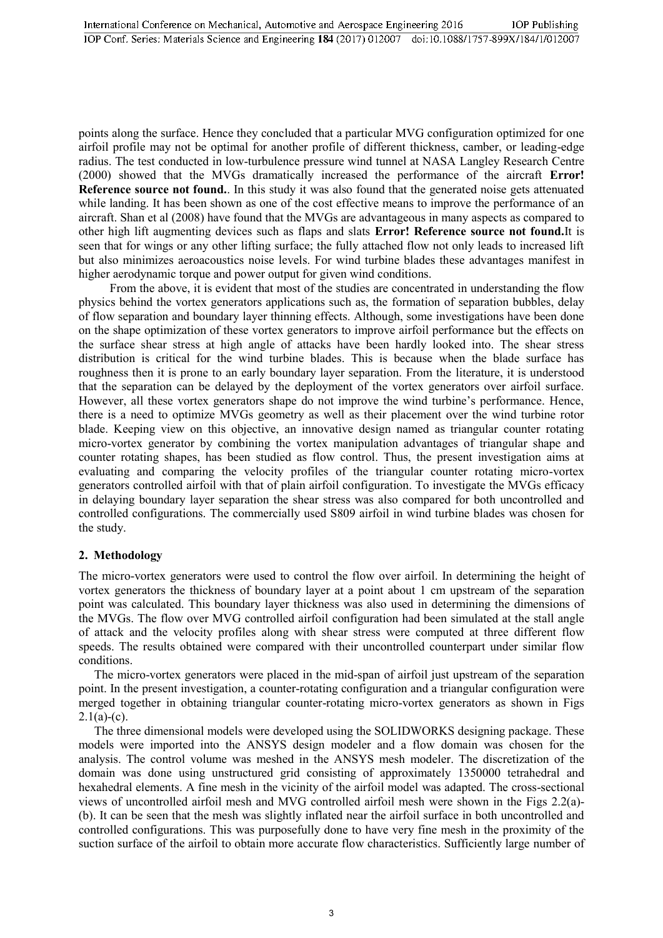points along the surface. Hence they concluded that a particular MVG configuration optimized for one airfoil profile may not be optimal for another profile of different thickness, camber, or leading-edge radius. The test conducted in low-turbulence pressure wind tunnel at NASA Langley Research Centre (2000) showed that the MVGs dramatically increased the performance of the aircraft **Error! Reference source not found.**. In this study it was also found that the generated noise gets attenuated while landing. It has been shown as one of the cost effective means to improve the performance of an aircraft. Shan et al (2008) have found that the MVGs are advantageous in many aspects as compared to other high lift augmenting devices such as flaps and slats **Error! Reference source not found.**It is seen that for wings or any other lifting surface; the fully attached flow not only leads to increased lift but also minimizes aeroacoustics noise levels. For wind turbine blades these advantages manifest in higher aerodynamic torque and power output for given wind conditions.

 From the above, it is evident that most of the studies are concentrated in understanding the flow physics behind the vortex generators applications such as, the formation of separation bubbles, delay of flow separation and boundary layer thinning effects. Although, some investigations have been done on the shape optimization of these vortex generators to improve airfoil performance but the effects on the surface shear stress at high angle of attacks have been hardly looked into. The shear stress distribution is critical for the wind turbine blades. This is because when the blade surface has roughness then it is prone to an early boundary layer separation. From the literature, it is understood that the separation can be delayed by the deployment of the vortex generators over airfoil surface. However, all these vortex generators shape do not improve the wind turbine's performance. Hence, there is a need to optimize MVGs geometry as well as their placement over the wind turbine rotor blade. Keeping view on this objective, an innovative design named as triangular counter rotating micro-vortex generator by combining the vortex manipulation advantages of triangular shape and counter rotating shapes, has been studied as flow control. Thus, the present investigation aims at evaluating and comparing the velocity profiles of the triangular counter rotating micro-vortex generators controlled airfoil with that of plain airfoil configuration. To investigate the MVGs efficacy in delaying boundary layer separation the shear stress was also compared for both uncontrolled and controlled configurations. The commercially used S809 airfoil in wind turbine blades was chosen for the study.

## **2. Methodology**

The micro-vortex generators were used to control the flow over airfoil. In determining the height of vortex generators the thickness of boundary layer at a point about 1 cm upstream of the separation point was calculated. This boundary layer thickness was also used in determining the dimensions of the MVGs. The flow over MVG controlled airfoil configuration had been simulated at the stall angle of attack and the velocity profiles along with shear stress were computed at three different flow speeds. The results obtained were compared with their uncontrolled counterpart under similar flow conditions.

The micro-vortex generators were placed in the mid-span of airfoil just upstream of the separation point. In the present investigation, a counter-rotating configuration and a triangular configuration were merged together in obtaining triangular counter-rotating micro-vortex generators as shown in Figs  $2.1(a)-(c)$ .

The three dimensional models were developed using the SOLIDWORKS designing package. These models were imported into the ANSYS design modeler and a flow domain was chosen for the analysis. The control volume was meshed in the ANSYS mesh modeler. The discretization of the domain was done using unstructured grid consisting of approximately 1350000 tetrahedral and hexahedral elements. A fine mesh in the vicinity of the airfoil model was adapted. The cross-sectional views of uncontrolled airfoil mesh and MVG controlled airfoil mesh were shown in the Figs 2.2(a)- (b). It can be seen that the mesh was slightly inflated near the airfoil surface in both uncontrolled and controlled configurations. This was purposefully done to have very fine mesh in the proximity of the suction surface of the airfoil to obtain more accurate flow characteristics. Sufficiently large number of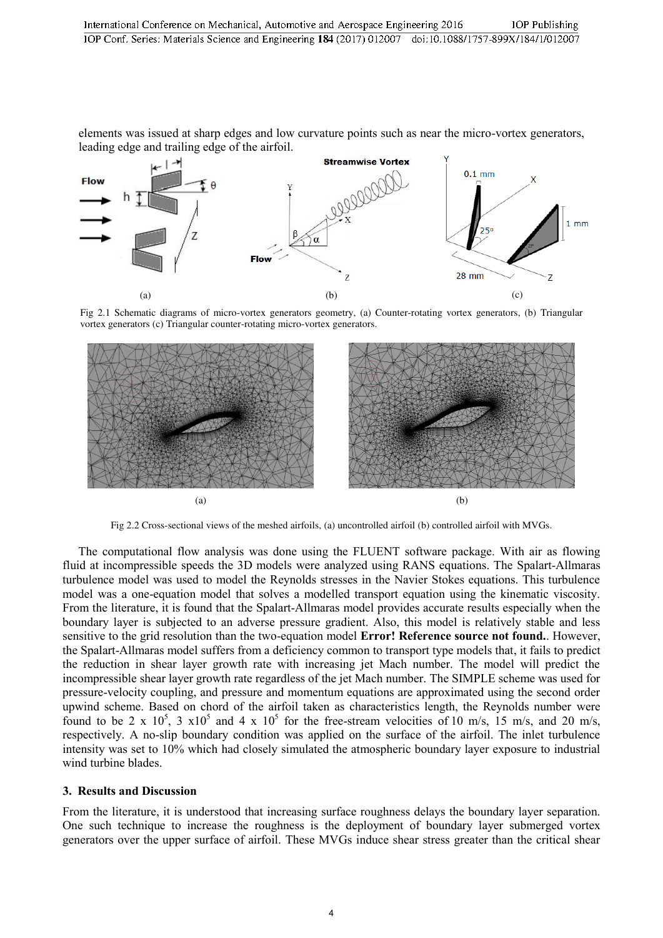elements was issued at sharp edges and low curvature points such as near the micro-vortex generators, leading edge and trailing edge of the airfoil.



Fig 2.1 Schematic diagrams of micro-vortex generators geometry, (a) Counter-rotating vortex generators, (b) Triangular vortex generators (c) Triangular counter-rotating micro-vortex generators.



Fig 2.2 Cross-sectional views of the meshed airfoils, (a) uncontrolled airfoil (b) controlled airfoil with MVGs.

The computational flow analysis was done using the FLUENT software package. With air as flowing fluid at incompressible speeds the 3D models were analyzed using RANS equations. The Spalart-Allmaras turbulence model was used to model the Reynolds stresses in the Navier Stokes equations. This turbulence model was a one-equation model that solves a modelled transport equation using the kinematic viscosity. From the literature, it is found that the Spalart-Allmaras model provides accurate results especially when the boundary layer is subjected to an adverse pressure gradient. Also, this model is relatively stable and less sensitive to the grid resolution than the two-equation model **Error! Reference source not found.**. However, the Spalart-Allmaras model suffers from a deficiency common to transport type models that, it fails to predict the reduction in shear layer growth rate with increasing jet Mach number. The model will predict the incompressible shear layer growth rate regardless of the jet Mach number. The SIMPLE scheme was used for pressure-velocity coupling, and pressure and momentum equations are approximated using the second order upwind scheme. Based on chord of the airfoil taken as characteristics length, the Reynolds number were found to be 2 x 10<sup>5</sup>, 3 x10<sup>5</sup> and 4 x 10<sup>5</sup> for the free-stream velocities of 10 m/s, 15 m/s, and 20 m/s, respectively. A no-slip boundary condition was applied on the surface of the airfoil. The inlet turbulence intensity was set to 10% which had closely simulated the atmospheric boundary layer exposure to industrial wind turbine blades.

#### **3. Results and Discussion**

From the literature, it is understood that increasing surface roughness delays the boundary layer separation. One such technique to increase the roughness is the deployment of boundary layer submerged vortex generators over the upper surface of airfoil. These MVGs induce shear stress greater than the critical shear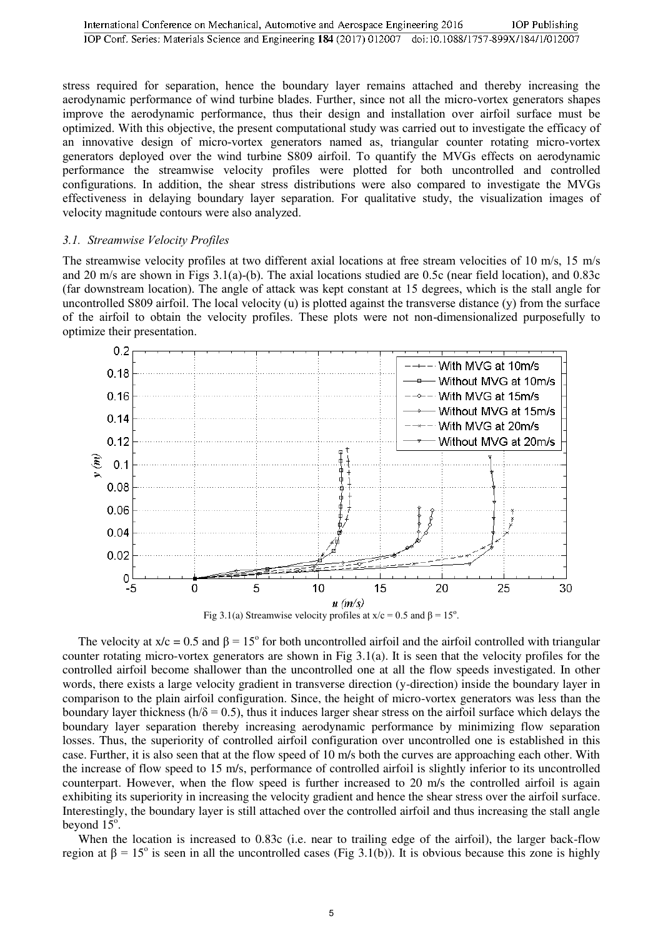stress required for separation, hence the boundary layer remains attached and thereby increasing the aerodynamic performance of wind turbine blades. Further, since not all the micro-vortex generators shapes improve the aerodynamic performance, thus their design and installation over airfoil surface must be optimized. With this objective, the present computational study was carried out to investigate the efficacy of an innovative design of micro-vortex generators named as, triangular counter rotating micro-vortex generators deployed over the wind turbine S809 airfoil. To quantify the MVGs effects on aerodynamic performance the streamwise velocity profiles were plotted for both uncontrolled and controlled configurations. In addition, the shear stress distributions were also compared to investigate the MVGs effectiveness in delaying boundary layer separation. For qualitative study, the visualization images of velocity magnitude contours were also analyzed.

#### *3.1. Streamwise Velocity Profiles*

The streamwise velocity profiles at two different axial locations at free stream velocities of 10 m/s, 15 m/s and 20 m/s are shown in Figs 3.1(a)-(b). The axial locations studied are 0.5c (near field location), and 0.83c (far downstream location). The angle of attack was kept constant at 15 degrees, which is the stall angle for uncontrolled S809 airfoil. The local velocity (u) is plotted against the transverse distance (y) from the surface of the airfoil to obtain the velocity profiles. These plots were not non-dimensionalized purposefully to optimize their presentation.



Fig 3.1(a) Streamwise velocity profiles at  $x/c = 0.5$  and  $\beta = 15^{\circ}$ .

The velocity at  $x/c = 0.5$  and  $\beta = 15^{\circ}$  for both uncontrolled airfoil and the airfoil controlled with triangular counter rotating micro-vortex generators are shown in Fig 3.1(a). It is seen that the velocity profiles for the controlled airfoil become shallower than the uncontrolled one at all the flow speeds investigated. In other words, there exists a large velocity gradient in transverse direction (y-direction) inside the boundary layer in comparison to the plain airfoil configuration. Since, the height of micro-vortex generators was less than the boundary layer thickness ( $h/\delta = 0.5$ ), thus it induces larger shear stress on the airfoil surface which delays the boundary layer separation thereby increasing aerodynamic performance by minimizing flow separation losses. Thus, the superiority of controlled airfoil configuration over uncontrolled one is established in this case. Further, it is also seen that at the flow speed of 10 m/s both the curves are approaching each other. With the increase of flow speed to 15 m/s, performance of controlled airfoil is slightly inferior to its uncontrolled counterpart. However, when the flow speed is further increased to 20 m/s the controlled airfoil is again exhibiting its superiority in increasing the velocity gradient and hence the shear stress over the airfoil surface. Interestingly, the boundary layer is still attached over the controlled airfoil and thus increasing the stall angle beyond  $15^\circ$ .

When the location is increased to 0.83c (i.e. near to trailing edge of the airfoil), the larger back-flow region at  $\beta = 15^{\circ}$  is seen in all the uncontrolled cases (Fig 3.1(b)). It is obvious because this zone is highly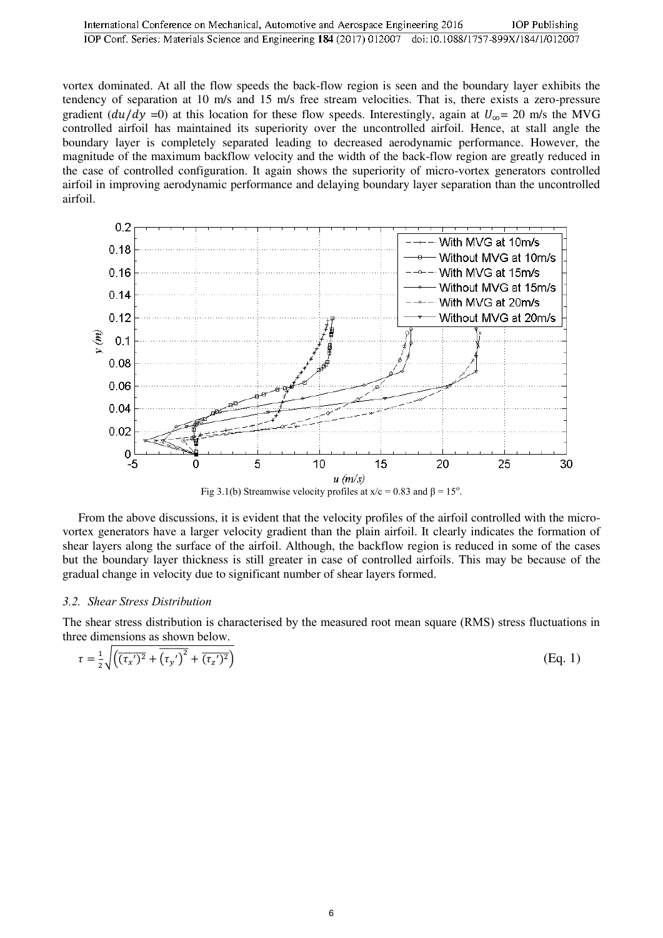vortex dominated. At all the flow speeds the back-flow region is seen and the boundary layer exhibits the tendency of separation at 10 m/s and 15 m/s free stream velocities. That is, there exists a zero-pressure gradient ( $du/dy = 0$ ) at this location for these flow speeds. Interestingly, again at  $U_{\infty} = 20$  m/s the MVG controlled airfoil has maintained its superiority over the uncontrolled airfoil. Hence, at stall angle the boundary layer is completely separated leading to decreased aerodynamic performance. However, the magnitude of the maximum backflow velocity and the width of the back-flow region are greatly reduced in the case of controlled configuration. It again shows the superiority of micro-vortex generators controlled airfoil in improving aerodynamic performance and delaying boundary layer separation than the uncontrolled airfoil.



Fig 3.1(b) Streamwise velocity profiles at  $x/c = 0.83$  and  $\beta = 15^{\circ}$ .

From the above discussions, it is evident that the velocity profiles of the airfoil controlled with the microvortex generators have a larger velocity gradient than the plain airfoil. It clearly indicates the formation of shear layers along the surface of the airfoil. Although, the backflow region is reduced in some of the cases but the boundary layer thickness is still greater in case of controlled airfoils. This may be because of the gradual change in velocity due to significant number of shear layers formed.

#### *3.2. Shear Stress Distribution*

The shear stress distribution is characterised by the measured root mean square (RMS) stress fluctuations in three dimensions as shown below.

$$
\tau = \frac{1}{2} \sqrt{\left( \overline{(\tau_x')^2} + \overline{(\tau_y')^2} + \overline{(\tau_z')^2} \right)}
$$
(Eq. 1)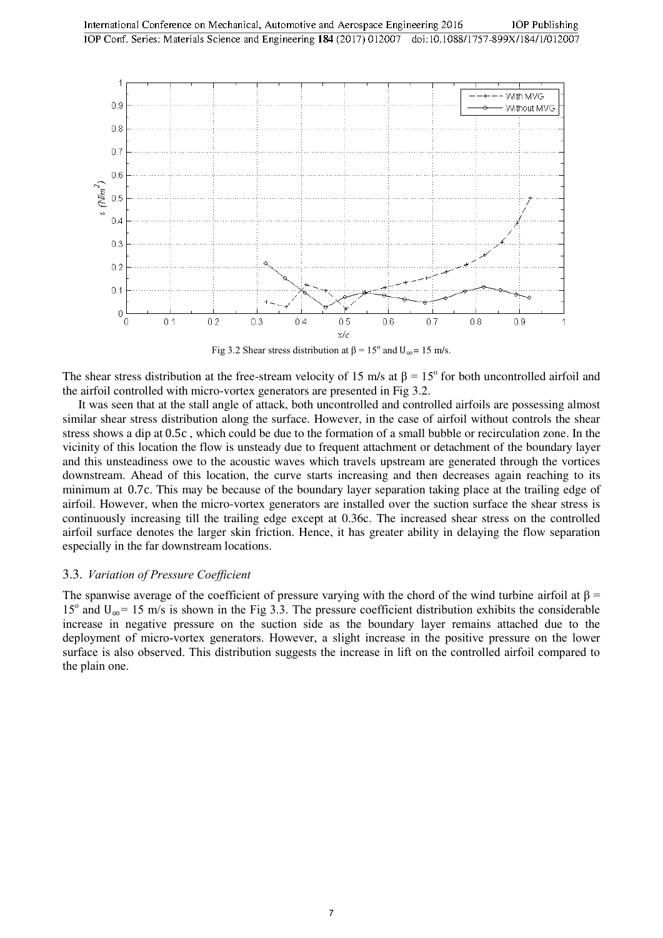

Fig 3.2 Shear stress distribution at  $β = 15°$  and  $U_{\infty} = 15$  m/s.

The shear stress distribution at the free-stream velocity of 15 m/s at  $\beta = 15^{\circ}$  for both uncontrolled airfoil and the airfoil controlled with micro-vortex generators are presented in Fig 3.2.

It was seen that at the stall angle of attack, both uncontrolled and controlled airfoils are possessing almost similar shear stress distribution along the surface. However, in the case of airfoil without controls the shear stress shows a dip at 0.5c , which could be due to the formation of a small bubble or recirculation zone. In the vicinity of this location the flow is unsteady due to frequent attachment or detachment of the boundary layer and this unsteadiness owe to the acoustic waves which travels upstream are generated through the vortices downstream. Ahead of this location, the curve starts increasing and then decreases again reaching to its minimum at 0.7c. This may be because of the boundary layer separation taking place at the trailing edge of airfoil. However, when the micro-vortex generators are installed over the suction surface the shear stress is continuously increasing till the trailing edge except at 0.36c. The increased shear stress on the controlled airfoil surface denotes the larger skin friction. Hence, it has greater ability in delaying the flow separation especially in the far downstream locations.

#### 3.3. *Variation of Pressure Coefficient*

The spanwise average of the coefficient of pressure varying with the chord of the wind turbine airfoil at  $\beta$  =  $15^{\circ}$  and  $U_{\infty}$  = 15 m/s is shown in the Fig 3.3. The pressure coefficient distribution exhibits the considerable increase in negative pressure on the suction side as the boundary layer remains attached due to the deployment of micro-vortex generators. However, a slight increase in the positive pressure on the lower surface is also observed. This distribution suggests the increase in lift on the controlled airfoil compared to the plain one.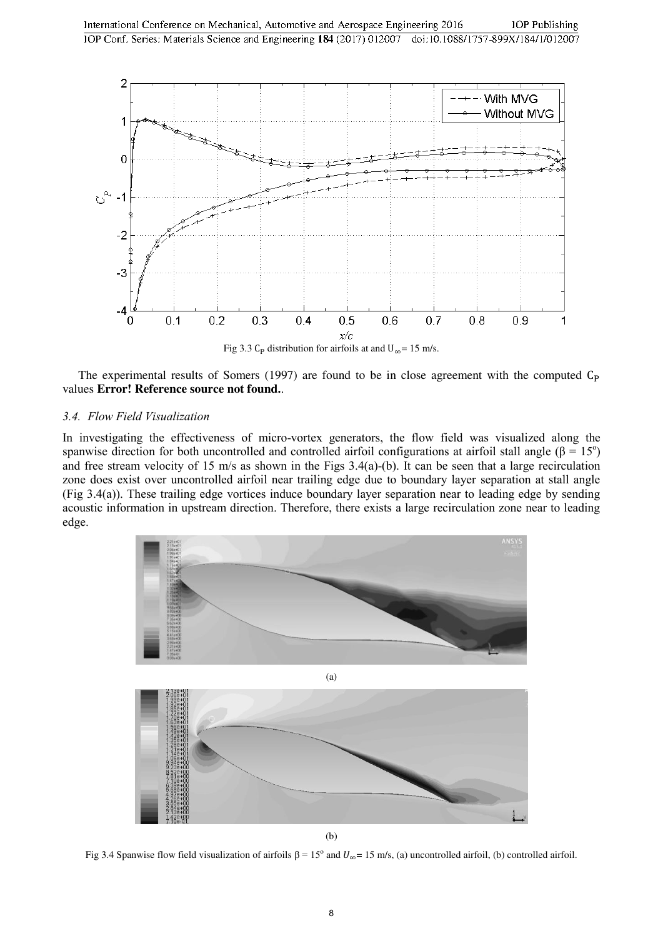

The experimental results of Somers (1997) are found to be in close agreement with the computed  $C_{\rm P}$ values **Error! Reference source not found.**.

### *3.4. Flow Field Visualization*

In investigating the effectiveness of micro-vortex generators, the flow field was visualized along the spanwise direction for both uncontrolled and controlled airfoil configurations at airfoil stall angle ( $\beta = 15^{\circ}$ ) and free stream velocity of 15 m/s as shown in the Figs 3.4(a)-(b). It can be seen that a large recirculation zone does exist over uncontrolled airfoil near trailing edge due to boundary layer separation at stall angle (Fig 3.4(a)). These trailing edge vortices induce boundary layer separation near to leading edge by sending acoustic information in upstream direction. Therefore, there exists a large recirculation zone near to leading edge.



Fig 3.4 Spanwise flow field visualization of airfoils  $β = 15°$  and  $U_{\infty} = 15$  m/s, (a) uncontrolled airfoil, (b) controlled airfoil.